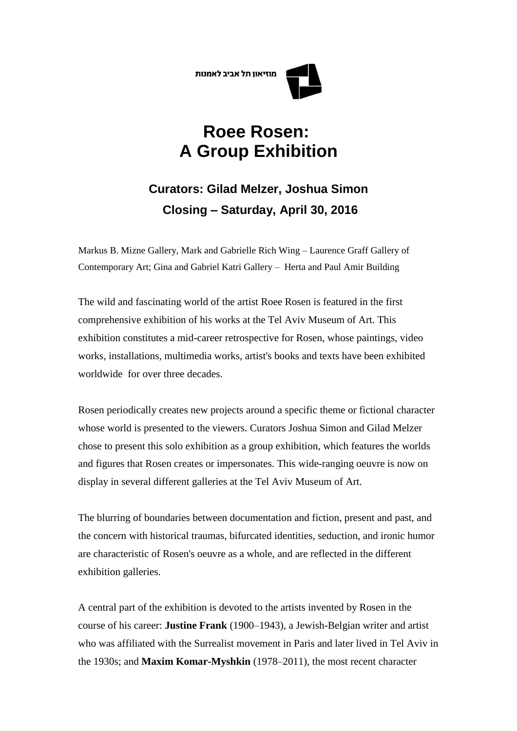מוזיאוו תל אביב לאמנות

## **Roee Rosen: A Group Exhibition**

## **Curators: Gilad Melzer, Joshua Simon Closing – Saturday, April 30, 2016**

Markus B. Mizne Gallery, Mark and Gabrielle Rich Wing – Laurence Graff Gallery of Contemporary Art; Gina and Gabriel Katri Gallery – Herta and Paul Amir Building

The wild and fascinating world of the artist Roee Rosen is featured in the first comprehensive exhibition of his works at the Tel Aviv Museum of Art. This exhibition constitutes a mid-career retrospective for Rosen, whose paintings, video works, installations, multimedia works, artist's books and texts have been exhibited worldwide for over three decades.

Rosen periodically creates new projects around a specific theme or fictional character whose world is presented to the viewers. Curators Joshua Simon and Gilad Melzer chose to present this solo exhibition as a group exhibition, which features the worlds and figures that Rosen creates or impersonates. This wide-ranging oeuvre is now on display in several different galleries at the Tel Aviv Museum of Art.

The blurring of boundaries between documentation and fiction, present and past, and the concern with historical traumas, bifurcated identities, seduction, and ironic humor are characteristic of Rosen's oeuvre as a whole, and are reflected in the different exhibition galleries.

A central part of the exhibition is devoted to the artists invented by Rosen in the course of his career: **Justine Frank** (1900–1943), a Jewish-Belgian writer and artist who was affiliated with the Surrealist movement in Paris and later lived in Tel Aviv in the 1930s; and **Maxim Komar-Myshkin** (1978–2011), the most recent character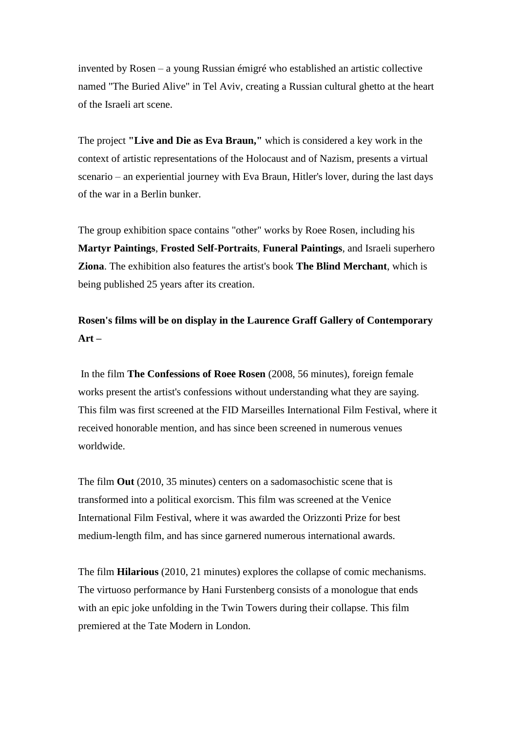invented by Rosen – a young Russian émigré who established an artistic collective named "The Buried Alive" in Tel Aviv, creating a Russian cultural ghetto at the heart of the Israeli art scene.

The project **"Live and Die as Eva Braun,"** which is considered a key work in the context of artistic representations of the Holocaust and of Nazism, presents a virtual scenario – an experiential journey with Eva Braun, Hitler's lover, during the last days of the war in a Berlin bunker.

The group exhibition space contains "other" works by Roee Rosen, including his **Martyr Paintings**, **Frosted Self-Portraits**, **Funeral Paintings**, and Israeli superhero **Ziona**. The exhibition also features the artist's book **The Blind Merchant**, which is being published 25 years after its creation.

## **Rosen's films will be on display in the Laurence Graff Gallery of Contemporary Art –**

In the film **The Confessions of Roee Rosen** (2008, 56 minutes), foreign female works present the artist's confessions without understanding what they are saying. This film was first screened at the FID Marseilles International Film Festival, where it received honorable mention, and has since been screened in numerous venues worldwide.

The film **Out** (2010, 35 minutes) centers on a sadomasochistic scene that is transformed into a political exorcism. This film was screened at the Venice International Film Festival, where it was awarded the Orizzonti Prize for best medium-length film, and has since garnered numerous international awards.

The film **Hilarious** (2010, 21 minutes) explores the collapse of comic mechanisms. The virtuoso performance by Hani Furstenberg consists of a monologue that ends with an epic joke unfolding in the Twin Towers during their collapse. This film premiered at the Tate Modern in London.